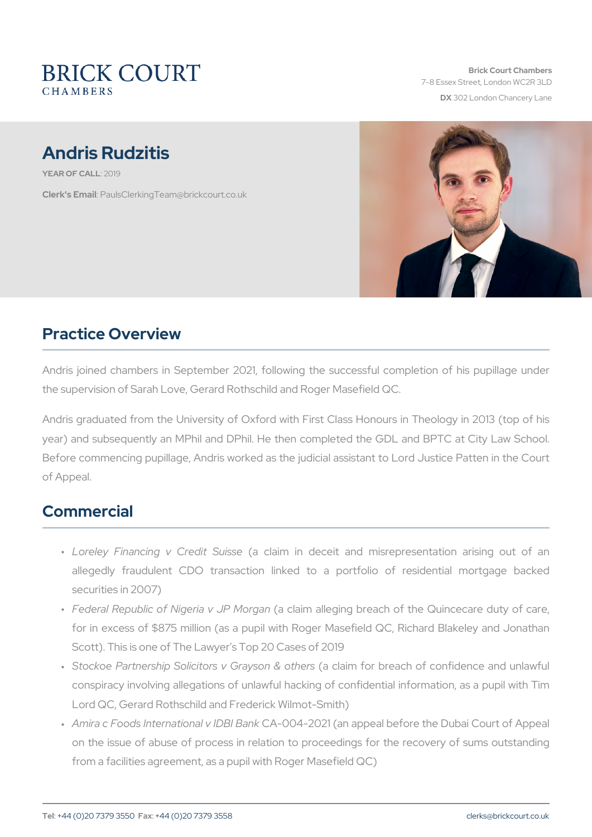Brick Court Chambers 7-8 Essex Street, London WC2 DX 302 London Chancery La

# Andris Rudzitis

YEAR OF CA210L19

Clerk's E. Phanull s Clerking Team @ brickcourt.co.uk

# Practice Overview

Andris joined chambers in September 2021, following the successful the supervision of Sarah Love, Gerard Rothschild and Roger Masefield

Andris graduated from the University of Oxford with First Class Hon year) and subsequently an MPhil and DPhil. He then completed the Before commencing pupillage, Andris worked as the judicial assistant of Appeal.

### Commercial

- " Loreley Financing v (Caredliaim Suinsedeceit and misrepresentation allegedly fraudulent CDO transaction linked to a portfolio securities in 2007)
- " Federal Republic of Niger (a claiPm Madregaim g breach of the Quince for in excess of \$875 million (as a pupil with Roger Masefield O Scott). This is one of The Lawyer s Top 20 Cases of 2019
- " Stockoe Partnership Solicitors (a Gorlæyi**s**nonfo& bontehærth of confidence conspiracy involving allegations of unlawful hacking of confident Lord QC, Gerard Rothschild and Frederick Wilmot-Smith)
- " Amira c Foods Internatio Canal OV 4 D2BO12 BB a (nak nappeal before the Dubai on the issue of abuse of process in relation to proceedings for from a facilities agreement, as a pupil with Roger Masefield QC)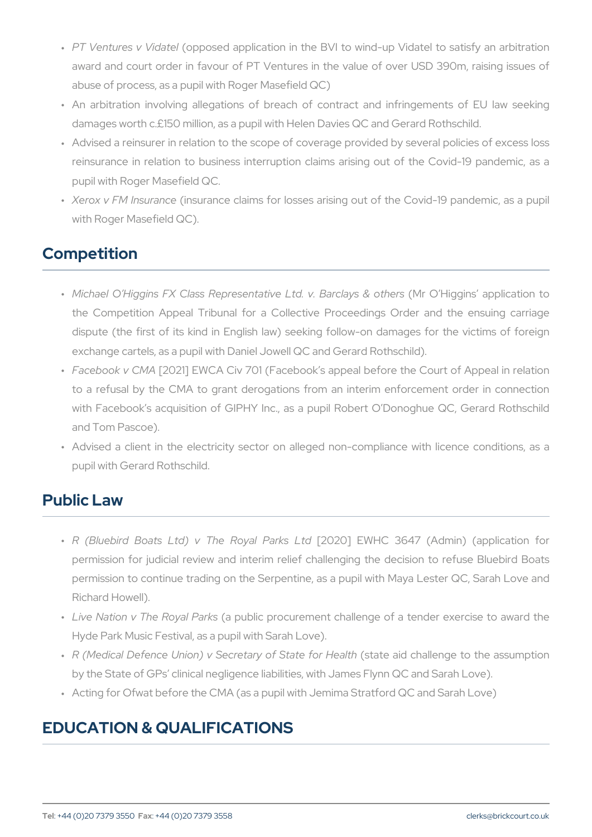- " PT Ventures v(o\pipdoasted application in the BVI to wind-up Vidatel award and court order in favour of PT Ventures in the value of abuse of process, as a pupil with Roger Masefield QC)
- " An arbitration involving allegations of breach of contract and damages worth c.£150 million, as a pupil with Helen Davies QC an
- " Advised a reinsurer in relation to the scope of coverage provided reinsurance in relation to business interruption claims arising pupil with Roger Masefield QC.
- " Xerox v FM In susanate ce claims for losses arising out of the Covid-19 pandemic and the Covid-19 pandemic and the Covid-19 pandemic and the Covid-19 pandemic and the Covid-19 pandemic and the Covid-19 pandemic and the C with Roger Masefield QC).

#### Competition

- " Michael O Higgins FX Class Representativ(eMrLtQd.HvggBnasrclappsli&ca the Competition Appeal Tribunal for a Collective Proceedings dispute (the first of its kind in English law) seeking follow-on exchange cartels, as a pupil with Daniel Jowell QC and Gerard Rothschild
- " Facebook v[200M2 A] EW CA Civ 701 (Facebook s appeal before the C to a refusal by the CMA to grant derogations from an interim with Facebook s acquisition of GIPHY Inc., as a pupil Robert C and Tom Pascoe).
- " Advised a client in the electricity sector on alleged non-compli pupil with Gerard Rothschild.

# Public Law

- " R (Bluebird Boats Ltd) v Th[e202ROo]yaEl WPHaOrks36L417d (Admin) (app permission for judicial review and interim relief challenging the permission to continue trading on the Serpentine, as a pupil with Richard Howell).
- " Live Nation v The (Raoyoaulb IP car public procurement challenge of a tender e Hyde Park Music Festival, as a pupil with Sarah Love).
- " R (Medical Defence Union) v Secreta(rsytaoté Sati**a**ltechfaolnlehn**ige**ltho the by the State of GPs clinical negligence liabilities, with James Fly
- " Acting for Ofwat before the CMA (as a pupil with Jemima Stratford

# EDUCATION & QUALIFICATIONS